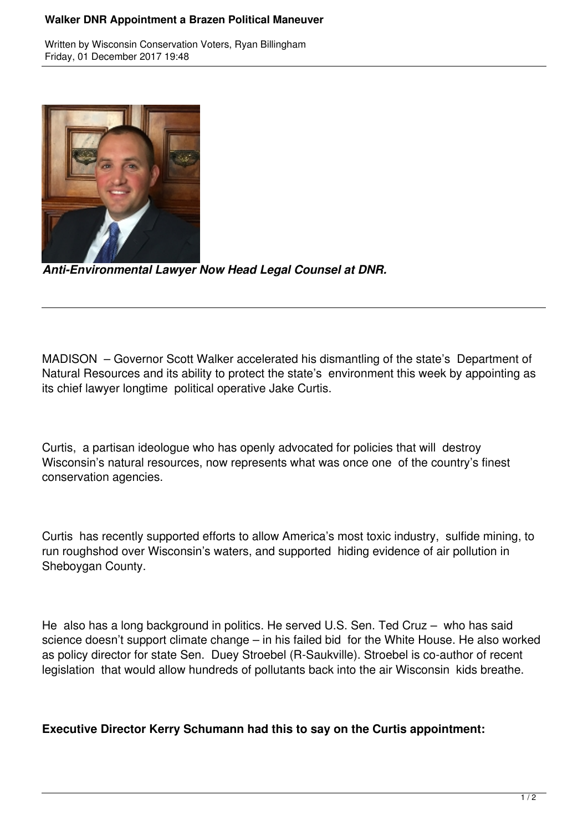## **Walker DNR Appointment a Brazen Political Maneuver**

Written by Wisconsin Conservation Voters, Ryan Billingham Friday, 01 December 2017 19:48



*Anti-Environmental Lawyer Now Head Legal Counsel at DNR.*

MADISON – Governor Scott Walker accelerated his dismantling of the state's Department of Natural Resources and its ability to protect the state's environment this week by appointing as its chief lawyer longtime political operative Jake Curtis.

Curtis, a partisan ideologue who has openly advocated for policies that will destroy Wisconsin's natural resources, now represents what was once one of the country's finest conservation agencies.

Curtis has recently supported efforts to allow America's most toxic industry, sulfide mining, to run roughshod over Wisconsin's waters, and supported hiding evidence of air pollution in Sheboygan County.

He also has a long background in politics. He served U.S. Sen. Ted Cruz – who has said science doesn't support climate change – in his failed bid for the White House. He also worked as policy director for state Sen. Duey Stroebel (R-Saukville). Stroebel is co-author of recent legislation that would allow hundreds of pollutants back into the air Wisconsin kids breathe.

## **Executive Director Kerry Schumann had this to say on the Curtis appointment:**